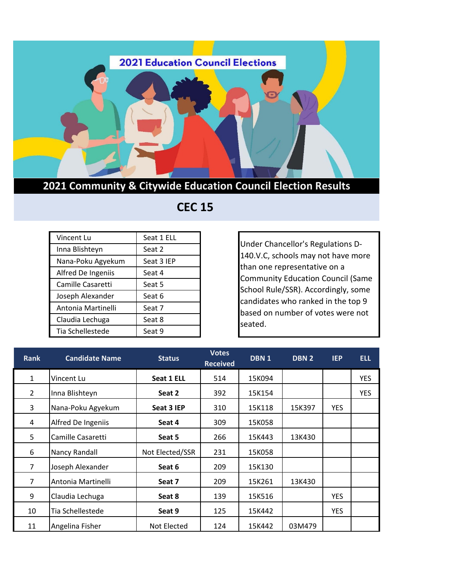

## **2021 Community & Citywide Education Council Election Results**

## **CEC 15**

| Vincent Lu         | Seat 1 ELL |
|--------------------|------------|
| Inna Blishteyn     | Seat 2     |
| Nana-Poku Agyekum  | Seat 3 IEP |
| Alfred De Ingeniis | Seat 4     |
| Camille Casaretti  | Seat 5     |
| Joseph Alexander   | Seat 6     |
| Antonia Martinelli | Seat 7     |
| Claudia Lechuga    | Seat 8     |
| Tia Schellestede   | Seat 9     |

Under Chancellor's Regulations D-140.V.C, schools may not have more than one representative on a Community Education Council (Same School Rule/SSR). Accordingly, some candidates who ranked in the top 9 based on number of votes were not seated.

| <b>Rank</b>    | <b>Candidate Name</b> | <b>Status</b>   | <b>Votes</b><br><b>Received</b> | DBN <sub>1</sub> | DBN <sub>2</sub> | <b>IEP</b> | <b>ELL</b> |
|----------------|-----------------------|-----------------|---------------------------------|------------------|------------------|------------|------------|
| $\mathbf{1}$   | Vincent Lu            | Seat 1 ELL      | 514                             | 15K094           |                  |            | <b>YES</b> |
| $\overline{2}$ | Inna Blishteyn        | Seat 2          | 392                             | 15K154           |                  |            | <b>YES</b> |
| 3              | Nana-Poku Agyekum     | Seat 3 IEP      | 310                             | 15K118           | 15K397           | <b>YES</b> |            |
| 4              | Alfred De Ingeniis    | Seat 4          | 309                             | 15K058           |                  |            |            |
| 5              | Camille Casaretti     | Seat 5          | 266                             | 15K443           | 13K430           |            |            |
| 6              | Nancy Randall         | Not Elected/SSR | 231                             | 15K058           |                  |            |            |
| $\overline{7}$ | Joseph Alexander      | Seat 6          | 209                             | 15K130           |                  |            |            |
| 7              | Antonia Martinelli    | Seat 7          | 209                             | 15K261           | 13K430           |            |            |
| 9              | Claudia Lechuga       | Seat 8          | 139                             | 15K516           |                  | <b>YES</b> |            |
| 10             | Tia Schellestede      | Seat 9          | 125                             | 15K442           |                  | <b>YES</b> |            |
| 11             | Angelina Fisher       | Not Elected     | 124                             | 15K442           | 03M479           |            |            |